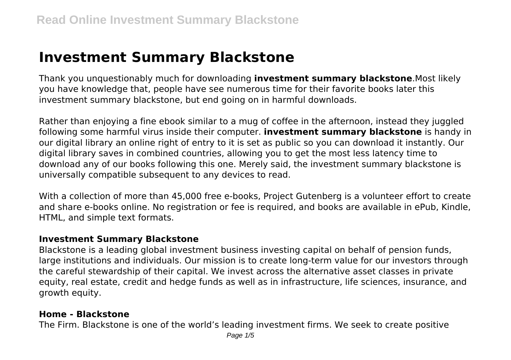# **Investment Summary Blackstone**

Thank you unquestionably much for downloading **investment summary blackstone**.Most likely you have knowledge that, people have see numerous time for their favorite books later this investment summary blackstone, but end going on in harmful downloads.

Rather than enjoying a fine ebook similar to a mug of coffee in the afternoon, instead they juggled following some harmful virus inside their computer. **investment summary blackstone** is handy in our digital library an online right of entry to it is set as public so you can download it instantly. Our digital library saves in combined countries, allowing you to get the most less latency time to download any of our books following this one. Merely said, the investment summary blackstone is universally compatible subsequent to any devices to read.

With a collection of more than 45,000 free e-books, Project Gutenberg is a volunteer effort to create and share e-books online. No registration or fee is required, and books are available in ePub, Kindle, HTML, and simple text formats.

#### **Investment Summary Blackstone**

Blackstone is a leading global investment business investing capital on behalf of pension funds, large institutions and individuals. Our mission is to create long-term value for our investors through the careful stewardship of their capital. We invest across the alternative asset classes in private equity, real estate, credit and hedge funds as well as in infrastructure, life sciences, insurance, and growth equity.

#### **Home - Blackstone**

The Firm. Blackstone is one of the world's leading investment firms. We seek to create positive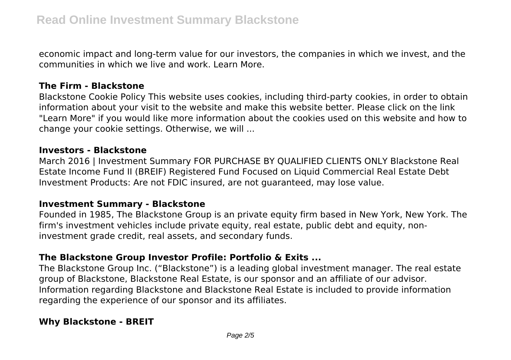economic impact and long-term value for our investors, the companies in which we invest, and the communities in which we live and work. Learn More.

#### **The Firm - Blackstone**

Blackstone Cookie Policy This website uses cookies, including third-party cookies, in order to obtain information about your visit to the website and make this website better. Please click on the link "Learn More" if you would like more information about the cookies used on this website and how to change your cookie settings. Otherwise, we will ...

#### **Investors - Blackstone**

March 2016 | Investment Summary FOR PURCHASE BY QUALIFIED CLIENTS ONLY Blackstone Real Estate Income Fund II (BREIF) Registered Fund Focused on Liquid Commercial Real Estate Debt Investment Products: Are not FDIC insured, are not guaranteed, may lose value.

#### **Investment Summary - Blackstone**

Founded in 1985, The Blackstone Group is an private equity firm based in New York, New York. The firm's investment vehicles include private equity, real estate, public debt and equity, noninvestment grade credit, real assets, and secondary funds.

# **The Blackstone Group Investor Profile: Portfolio & Exits ...**

The Blackstone Group Inc. ("Blackstone") is a leading global investment manager. The real estate group of Blackstone, Blackstone Real Estate, is our sponsor and an affiliate of our advisor. Information regarding Blackstone and Blackstone Real Estate is included to provide information regarding the experience of our sponsor and its affiliates.

# **Why Blackstone - BREIT**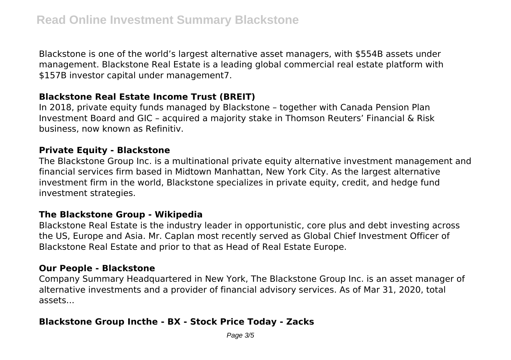Blackstone is one of the world's largest alternative asset managers, with \$554B assets under management. Blackstone Real Estate is a leading global commercial real estate platform with \$157B investor capital under management7.

## **Blackstone Real Estate Income Trust (BREIT)**

In 2018, private equity funds managed by Blackstone – together with Canada Pension Plan Investment Board and GIC – acquired a majority stake in Thomson Reuters' Financial & Risk business, now known as Refinitiv.

### **Private Equity - Blackstone**

The Blackstone Group Inc. is a multinational private equity alternative investment management and financial services firm based in Midtown Manhattan, New York City. As the largest alternative investment firm in the world, Blackstone specializes in private equity, credit, and hedge fund investment strategies.

## **The Blackstone Group - Wikipedia**

Blackstone Real Estate is the industry leader in opportunistic, core plus and debt investing across the US, Europe and Asia. Mr. Caplan most recently served as Global Chief Investment Officer of Blackstone Real Estate and prior to that as Head of Real Estate Europe.

## **Our People - Blackstone**

Company Summary Headquartered in New York, The Blackstone Group Inc. is an asset manager of alternative investments and a provider of financial advisory services. As of Mar 31, 2020, total assets...

# **Blackstone Group Incthe - BX - Stock Price Today - Zacks**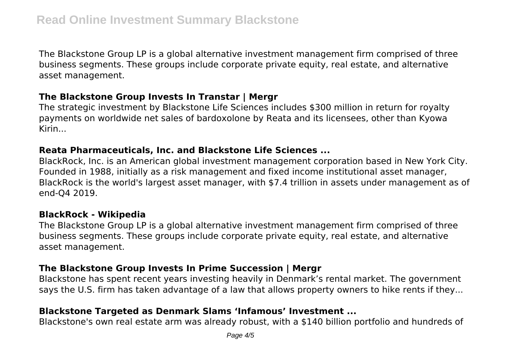The Blackstone Group LP is a global alternative investment management firm comprised of three business segments. These groups include corporate private equity, real estate, and alternative asset management.

### **The Blackstone Group Invests In Transtar | Mergr**

The strategic investment by Blackstone Life Sciences includes \$300 million in return for royalty payments on worldwide net sales of bardoxolone by Reata and its licensees, other than Kyowa Kirin...

### **Reata Pharmaceuticals, Inc. and Blackstone Life Sciences ...**

BlackRock, Inc. is an American global investment management corporation based in New York City. Founded in 1988, initially as a risk management and fixed income institutional asset manager, BlackRock is the world's largest asset manager, with \$7.4 trillion in assets under management as of end-Q4 2019.

## **BlackRock - Wikipedia**

The Blackstone Group LP is a global alternative investment management firm comprised of three business segments. These groups include corporate private equity, real estate, and alternative asset management.

## **The Blackstone Group Invests In Prime Succession | Mergr**

Blackstone has spent recent years investing heavily in Denmark's rental market. The government says the U.S. firm has taken advantage of a law that allows property owners to hike rents if they...

# **Blackstone Targeted as Denmark Slams 'Infamous' Investment ...**

Blackstone's own real estate arm was already robust, with a \$140 billion portfolio and hundreds of